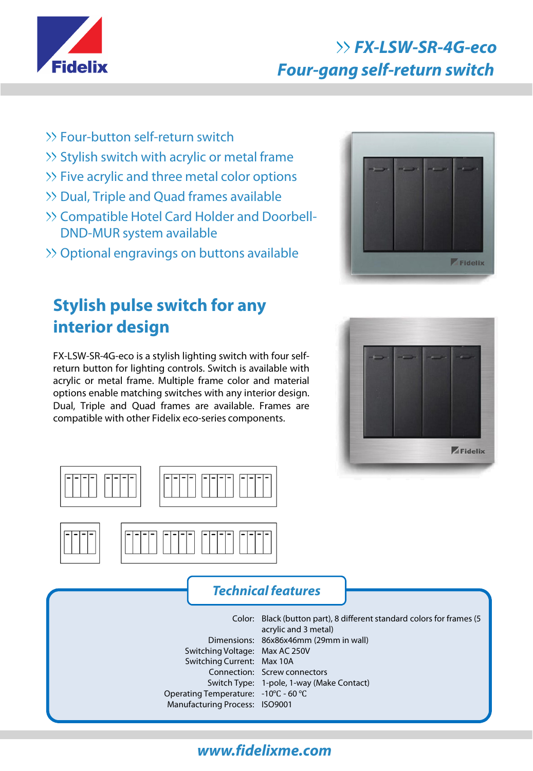

# **FX-LSW-SR-4G-eco Four-gang self-return switch**

- >> Four-button self-return switch
- >> Stylish switch with acrylic or metal frame
- >> Five acrylic and three metal color options
- Dual, Triple and Quad frames available
- >> Compatible Hotel Card Holder and Doorbell-DND-MUR system available
- Optional engravings on buttons available

# **Stylish pulse switch for any interior design**

FX-LSW-SR-4G-eco is a stylish lighting switch with four selfreturn button for lighting controls. Switch is available with acrylic or metal frame. Multiple frame color and material options enable matching switches with any interior design. Dual, Triple and Quad frames are available. Frames are compatible with other Fidelix eco-series components.











### **Technical features**

Switching Voltage: Max AC 250V Switching Current: Max 10A Operating Temperature: -10℃ - 60 ℃ Manufacturing Process: ISO9001

Color: Black (button part), 8 different standard colors for frames (5 Dimensions: 86x86x46mm (29mm in wall) Connection: Screw connectors Switch Type: 1-pole, 1-way (Make Contact) acrylic and 3 metal)

## **www.fidelixme.com**